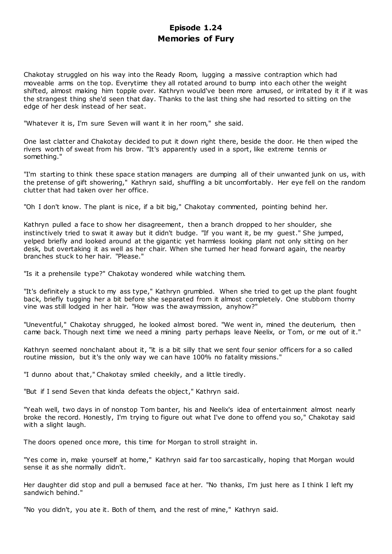# **Episode 1.24 Memories of Fury**

Chakotay struggled on his way into the Ready Room, lugging a massive contraption which had moveable arms on the top. Everytime they all rotated around to bump into each other the weight shifted, almost making him topple over. Kathryn would've been more amused, or irritated by it if it was the strangest thing she'd seen that day. Thanks to the last thing she had resorted to sitting on the edge of her desk instead of her seat.

"Whatever it is, I'm sure Seven will want it in her room," she said.

One last clatter and Chakotay decided to put it down right there, beside the door. He then wiped the rivers worth of sweat from his brow. "It's apparently used in a sport, like extreme tennis or something."

"I'm starting to think these space station managers are dumping all of their unwanted junk on us, with the pretense of gift showering," Kathryn said, shuffling a bit uncomfortably. Her eye fell on the random clutter that had taken over her office.

"Oh I don't know. The plant is nice, if a bit big," Chakotay commented, pointing behind her.

Kathryn pulled a face to show her disagreement, then a branch dropped to her shoulder, she instinctively tried to swat it away but it didn't budge. "If you want it, be my guest." She jumped, yelped briefly and looked around at the gigantic yet harmless looking plant not only sitting on her desk, but overtaking it as well as her chair. When she turned her head forward again, the nearby branches stuck to her hair. "Please."

"Is it a prehensile type?" Chakotay wondered while watching them.

"It's definitely a stuck to my ass type," Kathryn grumbled. When she tried to get up the plant fought back, briefly tugging her a bit before she separated from it almost completely. One stubborn thorny vine was still lodged in her hair. "How was the awaymission, anyhow?"

"Uneventful," Chakotay shrugged, he looked almost bored. "We went in, mined the deuterium, then came back. Though next time we need a mining party perhaps leave Neelix, or Tom, or me out of it."

Kathryn seemed nonchalant about it, "it is a bit silly that we sent four senior officers for a so called routine mission, but it's the only way we can have 100% no fatality missions."

"I dunno about that," Chakotay smiled cheekily, and a little tiredly.

"But if I send Seven that kinda defeats the object," Kathryn said.

"Yeah well, two days in of nonstop Tom banter, his and Neelix's idea of entertainment almost nearly broke the record. Honestly, I'm trying to figure out what I've done to offend you so," Chakotay said with a slight laugh.

The doors opened once more, this time for Morgan to stroll straight in.

"Yes come in, make yourself at home," Kathryn said far too sarcastically, hoping that Morgan would sense it as she normally didn't.

Her daughter did stop and pull a bemused face at her. "No thanks, I'm just here as I think I left my sandwich behind."

"No you didn't, you ate it. Both of them, and the rest of mine," Kathryn said.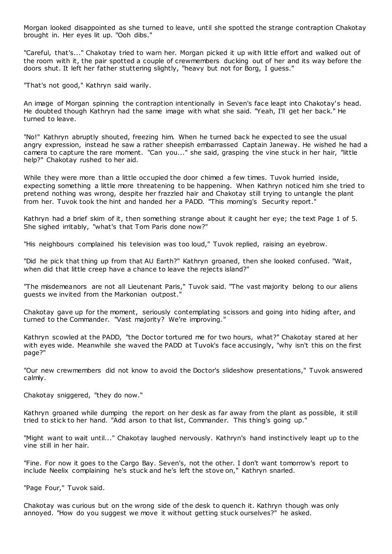Morgan looked disappointed as she turned to leave, until she spotted the strange contraption Chakotay brought in. Her eyes lit up. "Ooh dibs."

"Careful, that's..." Chakotay tried to warn her. Morgan picked it up with little effort and walked out of the room with it, the pair spotted a couple of crewmembers ducking out of her and its way before the doors shut. It left her father stuttering slightly, "heavy but not for Borg, I guess."

"That's not good," Kathryn said warily.

An image of Morgan spinning the contraption intentionally in Seven's face leapt into Chakotay's head. He doubted though Kathryn had the same image with what she said. "Yeah, I'll get her back." He turned to leave.

"No!" Kathryn abruptly shouted, freezing him. When he turned back he expected to see the usual angry expression, instead he saw a rather sheepish embarrassed Captain Janeway. He wished he had a camera to capture the rare moment. "Can you..." she said, grasping the vine stuck in her hair, "little help?" Chakotay rushed to her aid.

While they were more than a little occupied the door chimed a few times. Tuvok hurried inside, expecting something a little more threatening to be happening. When Kathryn noticed him she tried to pretend nothing was wrong, despite her frazzled hair and Chakotay still trying to untangle the plant from her. Tuvok took the hint and handed her a PADD. "This morning's Security report."

Kathryn had a brief skim of it, then something strange about it caught her eye; the text Page 1 of 5. She sighed irritably, "what's that Tom Paris done now?"

"His neighbours complained his television was too loud," Tuvok replied, raising an eyebrow.

"Did he pick that thing up from that AU Earth?" Kathryn groaned, then she looked confused. "Wait, when did that little creep have a chance to leave the rejects island?"

"The misdemeanors are not all Lieutenant Paris," Tuvok said. "The vast majority belong to our aliens guests we invited from the Markonian outpost."

Chakotay gave up for the moment, seriously contemplating scissors and going into hiding after, and turned to the Commander. "Vast majority? We're improving."

Kathryn scowled at the PADD, "the Doctor tortured me for two hours, what?" Chakotay stared at her with eyes wide. Meanwhile she waved the PADD at Tuvok's face accusingly, "why isn't this on the first page?"

"Our new crewmembers did not know to avoid the Doctor's slideshow presentations," Tuvok answered calmly.

Chakotay sniggered, "they do now."

Kathryn groaned while dumping the report on her desk as far away from the plant as possible, it still tried to stick to her hand. "Add arson to that list, Commander. This thing's going up."

"Might want to wait until..." Chakotay laughed nervously. Kathryn's hand instinctively leapt up to the vine still in her hair.

"Fine. For now it goes to the Cargo Bay. Seven's, not the other. I don't want tomorrow's report to include Neelix complaining he's stuck and he's left the stove on," Kathryn snarled.

"Page Four," Tuvok said.

Chakotay was curious but on the wrong side of the desk to quench it. Kathryn though was only annoyed. "How do you suggest we move it without getting stuck ourselves?" he asked.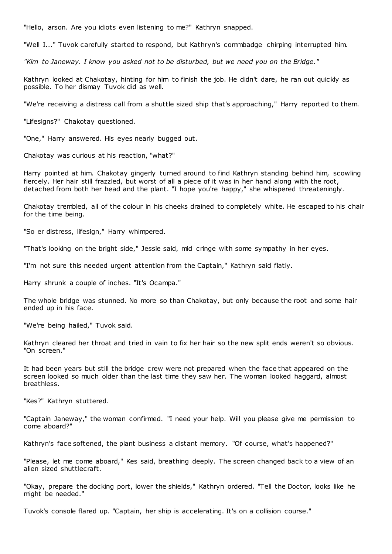"Hello, arson. Are you idiots even listening to me?" Kathryn snapped.

"Well I..." Tuvok carefully started to respond, but Kathryn's commbadge chirping interrupted him.

*"Kim to Janeway. I know you asked not to be disturbed, but we need you on the Bridge."*

Kathryn looked at Chakotay, hinting for him to finish the job. He didn't dare, he ran out quickly as possible. To her dismay Tuvok did as well.

"We're receiving a distress call from a shuttle sized ship that's approaching," Harry reported to them.

"Lifesigns?" Chakotay questioned.

"One," Harry answered. His eyes nearly bugged out.

Chakotay was curious at his reaction, "what?"

Harry pointed at him. Chakotay gingerly turned around to find Kathryn standing behind him, scowling fiercely. Her hair still frazzled, but worst of all a piece of it was in her hand along with the root, detached from both her head and the plant. "I hope you're happy," she whispered threateningly.

Chakotay trembled, all of the colour in his cheeks drained to completely white. He escaped to his chair for the time being.

"So er distress, lifesign," Harry whimpered.

"That's looking on the bright side," Jessie said, mid cringe with some sympathy in her eyes.

"I'm not sure this needed urgent attention from the Captain," Kathryn said flatly.

Harry shrunk a couple of inches. "It's Ocampa."

The whole bridge was stunned. No more so than Chakotay, but only because the root and some hair ended up in his face.

"We're being hailed," Tuvok said.

Kathryn cleared her throat and tried in vain to fix her hair so the new split ends weren't so obvious. "On screen."

It had been years but still the bridge crew were not prepared when the face that appeared on the screen looked so much older than the last time they saw her. The woman looked haggard, almost breathless.

"Kes?" Kathryn stuttered.

"Captain Janeway," the woman confirmed. "I need your help. Will you please give me permission to come aboard?"

Kathryn's face softened, the plant business a distant memory. "Of course, what's happened?"

"Please, let me come aboard," Kes said, breathing deeply. The screen changed back to a view of an alien sized shuttlecraft.

"Okay, prepare the docking port, lower the shields," Kathryn ordered. "Tell the Doctor, looks like he might be needed."

Tuvok's console flared up. "Captain, her ship is accelerating. It's on a collision course."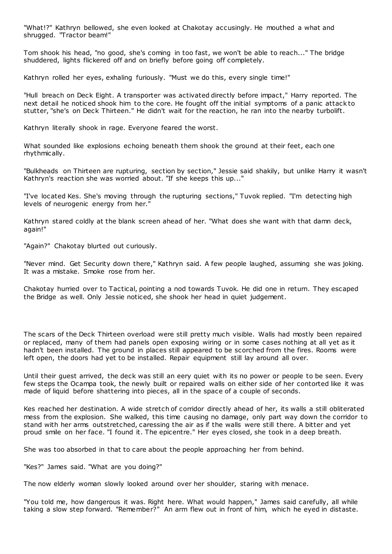"What!?" Kathryn bellowed, she even looked at Chakotay accusingly. He mouthed a what and shrugged. "Tractor beam!"

Tom shook his head, "no good, she's coming in too fast, we won't be able to reach..." The bridge shuddered, lights flickered off and on briefly before going off completely.

Kathryn rolled her eyes, exhaling furiously. "Must we do this, every single time!"

"Hull breach on Deck Eight. A transporter was activated directly before impact," Harry reported. The next detail he noticed shook him to the core. He fought off the initial symptoms of a panic attack to stutter, "she's on Deck Thirteen." He didn't wait for the reaction, he ran into the nearby turbolift.

Kathryn literally shook in rage. Everyone feared the worst.

What sounded like explosions echoing beneath them shook the ground at their feet, each one rhythmically.

"Bulkheads on Thirteen are rupturing, section by section," Jessie said shakily, but unlike Harry it wasn't Kathryn's reaction she was worried about. "If she keeps this up..."

"I've located Kes. She's moving through the rupturing sections," Tuvok replied. "I'm detecting high levels of neurogenic energy from her."

Kathryn stared coldly at the blank screen ahead of her. "What does she want with that damn deck, again!"

"Again?" Chakotay blurted out curiously.

"Never mind. Get Security down there," Kathryn said. A few people laughed, assuming she was joking. It was a mistake. Smoke rose from her.

Chakotay hurried over to Tactical, pointing a nod towards Tuvok. He did one in return. They escaped the Bridge as well. Only Jessie noticed, she shook her head in quiet judgement.

The scars of the Deck Thirteen overload were still pretty much visible. Walls had mostly been repaired or replaced, many of them had panels open exposing wiring or in some cases nothing at all yet as it hadn't been installed. The ground in places still appeared to be scorched from the fires. Rooms were left open, the doors had yet to be installed. Repair equipment still lay around all over.

Until their guest arrived, the deck was still an eery quiet with its no power or people to be seen. Every few steps the Ocampa took, the newly built or repaired walls on either side of her contorted like it was made of liquid before shattering into pieces, all in the space of a couple of seconds.

Kes reached her destination. A wide stretch of corridor directly ahead of her, its walls a still obliterated mess from the explosion. She walked, this time causing no damage, only part way down the corridor to stand with her arms outstretched, caressing the air as if the walls were still there. A bitter and yet proud smile on her face. "I found it. The epicentre." Her eyes closed, she took in a deep breath.

She was too absorbed in that to care about the people approaching her from behind.

"Kes?" James said. "What are you doing?"

The now elderly woman slowly looked around over her shoulder, staring with menace.

"You told me, how dangerous it was. Right here. What would happen," James said carefully, all while taking a slow step forward. "Remember?" An arm flew out in front of him, which he eyed in distaste.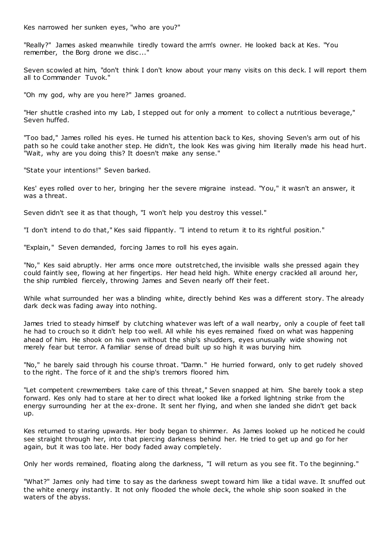Kes narrowed her sunken eyes, "who are you?"

"Really?" James asked meanwhile tiredly toward the arm's owner. He looked back at Kes. "You remember, the Borg drone we disc..."

Seven scowled at him, "don't think I don't know about your many visits on this deck. I will report them all to Commander Tuvok."

"Oh my god, why are you here?" James groaned.

"Her shuttle crashed into my Lab, I stepped out for only a moment to collect a nutritious beverage," Seven huffed.

"Too bad," James rolled his eyes. He turned his attention back to Kes, shoving Seven's arm out of his path so he could take another step. He didn't, the look Kes was giving him literally made his head hurt. "Wait, why are you doing this? It doesn't make any sense."

"State your intentions!" Seven barked.

Kes' eyes rolled over to her, bringing her the severe migraine instead. "You," it wasn't an answer, it was a threat.

Seven didn't see it as that though, "I won't help you destroy this vessel."

"I don't intend to do that," Kes said flippantly. "I intend to return it to its rightful position."

"Explain," Seven demanded, forcing James to roll his eyes again.

"No," Kes said abruptly. Her arms once more outstretched, the invisible walls she pressed again they could faintly see, flowing at her fingertips. Her head held high. White energy crackled all around her, the ship rumbled fiercely, throwing James and Seven nearly off their feet.

While what surrounded her was a blinding white, directly behind Kes was a different story. The already dark deck was fading away into nothing.

James tried to steady himself by clutching whatever was left of a wall nearby, only a couple of feet tall he had to crouch so it didn't help too well. All while his eyes remained fixed on what was happening ahead of him. He shook on his own without the ship's shudders, eyes unusually wide showing not merely fear but terror. A familiar sense of dread built up so high it was burying him.

"No," he barely said through his course throat. "Damn." He hurried forward, only to get rudely shoved to the right. The force of it and the ship's tremors floored him.

"Let competent crewmembers take care of this threat," Seven snapped at him. She barely took a step forward. Kes only had to stare at her to direct what looked like a forked lightning strike from the energy surrounding her at the ex-drone. It sent her flying, and when she landed she didn't get back up.

Kes returned to staring upwards. Her body began to shimmer. As James looked up he noticed he could see straight through her, into that piercing darkness behind her. He tried to get up and go for her again, but it was too late. Her body faded away completely.

Only her words remained, floating along the darkness, "I will return as you see fit. To the beginning."

"What?" James only had time to say as the darkness swept toward him like a tidal wave. It snuffed out the white energy instantly. It not only flooded the whole deck, the whole ship soon soaked in the waters of the abyss.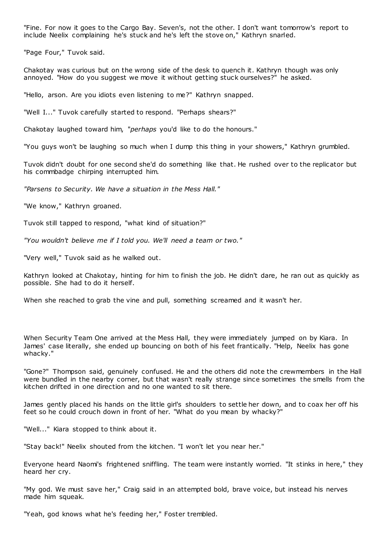"Fine. For now it goes to the Cargo Bay. Seven's, not the other. I don't want tomorrow's report to include Neelix complaining he's stuck and he's left the stove on," Kathryn snarled.

"Page Four," Tuvok said.

Chakotay was curious but on the wrong side of the desk to quench it. Kathryn though was only annoyed. "How do you suggest we move it without getting stuck ourselves?" he asked.

"Hello, arson. Are you idiots even listening to me?" Kathryn snapped.

"Well I..." Tuvok carefully started to respond. "Perhaps shears?"

Chakotay laughed toward him, "*perhaps* you'd like to do the honours."

"You guys won't be laughing so much when I dump this thing in your showers," Kathryn grumbled.

Tuvok didn't doubt for one second she'd do something like that. He rushed over to the replicator but his commbadge chirping interrupted him.

*"Parsens to Security. We have a situation in the Mess Hall."*

"We know," Kathryn groaned.

Tuvok still tapped to respond, "what kind of situation?"

*"You wouldn't believe me if I told you. We'll need a team or two."*

"Very well," Tuvok said as he walked out.

Kathryn looked at Chakotay, hinting for him to finish the job. He didn't dare, he ran out as quickly as possible. She had to do it herself.

When she reached to grab the vine and pull, something screamed and it wasn't her.

When Security Team One arrived at the Mess Hall, they were immediately jumped on by Kiara. In James' case literally, she ended up bouncing on both of his feet frantically. "Help, Neelix has gone whacky."

"Gone?" Thompson said, genuinely confused. He and the others did note the crewmembers in the Hall were bundled in the nearby corner, but that wasn't really strange since sometimes the smells from the kitchen drifted in one direction and no one wanted to sit there.

James gently placed his hands on the little girl's shoulders to settle her down, and to coax her off his feet so he could crouch down in front of her. "What do you mean by whacky?"

"Well..." Kiara stopped to think about it.

"Stay back!" Neelix shouted from the kitchen. "I won't let you near her."

Everyone heard Naomi's frightened sniffling. The team were instantly worried. "It stinks in here," they heard her cry.

"My god. We must save her," Craig said in an attempted bold, brave voice, but instead his nerves made him squeak.

"Yeah, god knows what he's feeding her," Foster trembled.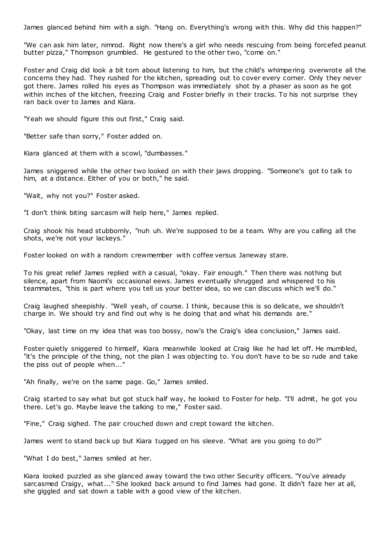James glanced behind him with a sigh. "Hang on. Everything's wrong with this. Why did this happen?"

"We can ask him later, nimrod. Right now there's a girl who needs rescuing from being forcefed peanut butter pizza," Thompson grumbled. He gestured to the other two, "come on."

Foster and Craig did look a bit torn about listening to him, but the child's whimpering overwrote all the concerns they had. They rushed for the kitchen, spreading out to cover every corner. Only they never got there. James rolled his eyes as Thompson was immediately shot by a phaser as soon as he got within inches of the kitchen, freezing Craig and Foster briefly in their tracks. To his not surprise they ran back over to James and Kiara.

"Yeah we should figure this out first," Craig said.

"Better safe than sorry," Foster added on.

Kiara glanced at them with a scowl, "dumbasses."

James sniggered while the other two looked on with their jaws dropping. "Someone's got to talk to him, at a distance. Either of you or both," he said.

"Wait, why not you?" Foster asked.

"I don't think biting sarcasm will help here," James replied.

Craig shook his head stubbornly, "nuh uh. We're supposed to be a team. Why are you calling all the shots, we're not your lackeys."

Foster looked on with a random crewmember with coffee versus Janeway stare.

To his great relief James replied with a casual, "okay. Fair enough." Then there was nothing but silence, apart from Naomi's occasional eews. James eventually shrugged and whispered to his teammates, "this is part where you tell us your better idea, so we can discuss which we'll do."

Craig laughed sheepishly. "Well yeah, of course. I think, because this is so delicate, we shouldn't charge in. We should try and find out why is he doing that and what his demands are."

"Okay, last time on my idea that was too bossy, now's the Craig's idea conclusion," James said.

Foster quietly sniggered to himself, Kiara meanwhile looked at Craig like he had let off. He mumbled, "it's the principle of the thing, not the plan I was objecting to. You don't have to be so rude and take the piss out of people when..."

"Ah finally, we're on the same page. Go," James smiled.

Craig started to say what but got stuck half way, he looked to Foster for help. "I'll admit, he got you there. Let's go. Maybe leave the talking to me," Foster said.

"Fine," Craig sighed. The pair crouched down and crept toward the kitchen.

James went to stand back up but Kiara tugged on his sleeve. "What are you going to do?"

"What I do best," James smiled at her.

Kiara looked puzzled as she glanced away toward the two other Security officers. "You've already sarcasmed Craigy, what..." She looked back around to find James had gone. It didn't faze her at all, she giggled and sat down a table with a good view of the kitchen.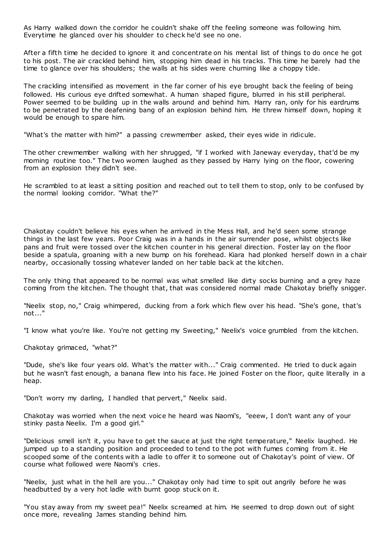As Harry walked down the corridor he couldn't shake off the feeling someone was following him. Everytime he glanced over his shoulder to check he'd see no one.

After a fifth time he decided to ignore it and concentrate on his mental list of things to do once he got to his post. The air crackled behind him, stopping him dead in his tracks. This time he barely had the time to glance over his shoulders; the walls at his sides were churning like a choppy tide.

The crackling intensified as movement in the far corner of his eye brought back the feeling of being followed. His curious eye drifted somewhat. A human shaped figure, blurred in his still peripheral. Power seemed to be building up in the walls around and behind him. Harry ran, only for his eardrums to be penetrated by the deafening bang of an explosion behind him. He threw himself down, hoping it would be enough to spare him.

"What's the matter with him?" a passing crewmember asked, their eyes wide in ridicule.

The other crewmember walking with her shrugged, "if I worked with Janeway everyday, that'd be my morning routine too." The two women laughed as they passed by Harry lying on the floor, cowering from an explosion they didn't see.

He scrambled to at least a sitting position and reached out to tell them to stop, only to be confused by the normal looking corridor. "What the?"

Chakotay couldn't believe his eyes when he arrived in the Mess Hall, and he'd seen some strange things in the last few years. Poor Craig was in a hands in the air surrender pose, whilst objects like pans and fruit were tossed over the kitchen counter in his general direction. Foster lay on the floor beside a spatula, groaning with a new bump on his forehead. Kiara had plonked herself down in a chair nearby, occasionally tossing whatever landed on her table back at the kitchen.

The only thing that appeared to be normal was what smelled like dirty socks burning and a grey haze coming from the kitchen. The thought that, that was considered normal made Chakotay briefly snigger.

"Neelix stop, no," Craig whimpered, ducking from a fork which flew over his head. "She's gone, that's not..."

"I know what you're like. You're not getting my Sweeting," Neelix's voice grumbled from the kitchen.

Chakotay grimaced, "what?"

"Dude, she's like four years old. What's the matter with..." Craig commented. He tried to duck again but he wasn't fast enough, a banana flew into his face. He joined Foster on the floor, quite literally in a heap.

"Don't worry my darling, I handled that pervert," Neelix said.

Chakotay was worried when the next voice he heard was Naomi's, "eeew, I don't want any of your stinky pasta Neelix. I'm a good girl."

"Delicious smell isn't it, you have to get the sauce at just the right temperature," Neelix laughed. He jumped up to a standing position and proceeded to tend to the pot with fumes coming from it. He scooped some of the contents with a ladle to offer it to someone out of Chakotay's point of view. Of course what followed were Naomi's cries.

"Neelix, just what in the hell are you..." Chakotay only had time to spit out angrily before he was headbutted by a very hot ladle with burnt goop stuck on it.

"You stay away from my sweet pea!" Neelix screamed at him. He seemed to drop down out of sight once more, revealing James standing behind him.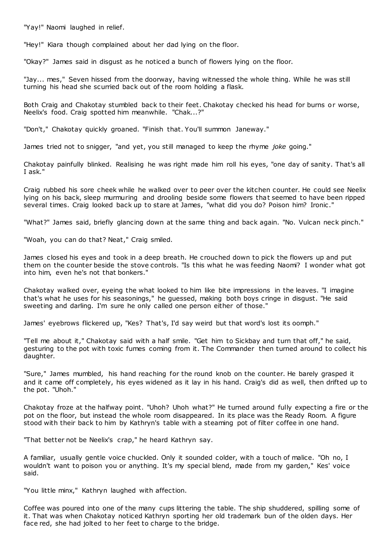"Yay!" Naomi laughed in relief.

"Hey!" Kiara though complained about her dad lying on the floor.

"Okay?" James said in disgust as he noticed a bunch of flowers lying on the floor.

"Jay... mes," Seven hissed from the doorway, having witnessed the whole thing. While he was still turning his head she scurried back out of the room holding a flask.

Both Craig and Chakotay stumbled back to their feet. Chakotay checked his head for burns or worse, Neelix's food. Craig spotted him meanwhile. "Chak...?"

"Don't," Chakotay quickly groaned. "Finish that. You'll summon Janeway."

James tried not to snigger, "and yet, you still managed to keep the rhyme *joke* going."

Chakotay painfully blinked. Realising he was right made him roll his eyes, "one day of sanity. That's all I ask."

Craig rubbed his sore cheek while he walked over to peer over the kitchen counter. He could see Neelix lying on his back, sleep murmuring and drooling beside some flowers that seemed to have been ripped several times. Craig looked back up to stare at James, "what did you do? Poison him? Ironic."

"What?" James said, briefly glancing down at the same thing and back again. "No. Vulcan neck pinch."

"Woah, you can do that? Neat," Craig smiled.

James closed his eyes and took in a deep breath. He crouched down to pick the flowers up and put them on the counter beside the stove controls. "Is this what he was feeding Naomi? I wonder what got into him, even he's not that bonkers."

Chakotay walked over, eyeing the what looked to him like bite impressions in the leaves. "I imagine that's what he uses for his seasonings," he guessed, making both boys cringe in disgust. "He said sweeting and darling. I'm sure he only called one person either of those."

James' eyebrows flickered up, "Kes? That's, I'd say weird but that word's lost its oomph."

"Tell me about it," Chakotay said with a half smile. "Get him to Sickbay and turn that off," he said, gesturing to the pot with toxic fumes coming from it. The Commander then turned around to collect his daughter.

"Sure," James mumbled, his hand reaching for the round knob on the counter. He barely grasped it and it came off completely, his eyes widened as it lay in his hand. Craig's did as well, then drifted up to the pot. "Uhoh."

Chakotay froze at the halfway point. "Uhoh? Uhoh what?" He turned around fully expecting a fire or the pot on the floor, but instead the whole room disappeared. In its place was the Ready Room. A figure stood with their back to him by Kathryn's table with a steaming pot of filter coffee in one hand.

"That better not be Neelix's crap," he heard Kathryn say.

A familiar, usually gentle voice chuckled. Only it sounded colder, with a touch of malice. "Oh no, I wouldn't want to poison you or anything. It's my special blend, made from my garden," Kes' voice said.

"You little minx," Kathryn laughed with affection.

Coffee was poured into one of the many cups littering the table. The ship shuddered, spilling some of it. That was when Chakotay noticed Kathryn sporting her old trademark bun of the olden days. Her face red, she had jolted to her feet to charge to the bridge.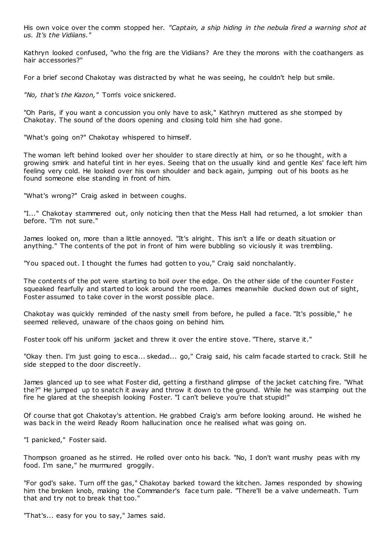His own voice over the comm stopped her. *"Captain, a ship hiding in the nebula fired a warning shot at us. It's the Vidiians."*

Kathryn looked confused, "who the frig are the Vidiians? Are they the morons with the coathangers as hair accessories?"

For a brief second Chakotay was distracted by what he was seeing, he couldn't help but smile.

*"No, that's the Kazon,"* Tom's voice snickered.

"Oh Paris, if you want a concussion you only have to ask," Kathryn muttered as she stomped by Chakotay. The sound of the doors opening and closing told him she had gone.

"What's going on?" Chakotay whispered to himself.

The woman left behind looked over her shoulder to stare directly at him, or so he thought, with a growing smirk and hateful tint in her eyes. Seeing that on the usually kind and gentle Kes' face left him feeling very cold. He looked over his own shoulder and back again, jumping out of his boots as he found someone else standing in front of him.

"What's wrong?" Craig asked in between coughs.

"I..." Chakotay stammered out, only noticing then that the Mess Hall had returned, a lot smokier than before. "I'm not sure."

James looked on, more than a little annoyed. "It's alright. This isn't a life or death situation or anything." The contents of the pot in front of him were bubbling so viciously it was trembling.

"You spaced out. I thought the fumes had gotten to you," Craig said nonchalantly.

The contents of the pot were starting to boil over the edge. On the other side of the counter Foster squeaked fearfully and started to look around the room. James meanwhile ducked down out of sight, Foster assumed to take cover in the worst possible place.

Chakotay was quickly reminded of the nasty smell from before, he pulled a face. "It's possible," he seemed relieved, unaware of the chaos going on behind him.

Foster took off his uniform jacket and threw it over the entire stove. "There, starve it."

"Okay then. I'm just going to esca... skedad... go," Craig said, his calm facade started to crack. Still he side stepped to the door discreetly.

James glanced up to see what Foster did, getting a firsthand glimpse of the jacket catching fire. "What the?" He jumped up to snatch it away and throw it down to the ground. While he was stamping out the fire he glared at the sheepish looking Foster. "I can't believe you're that stupid!"

Of course that got Chakotay's attention. He grabbed Craig's arm before looking around. He wished he was back in the weird Ready Room hallucination once he realised what was going on.

"I panicked," Foster said.

Thompson groaned as he stirred. He rolled over onto his back. "No, I don't want mushy peas with my food. I'm sane," he murmured groggily.

"For god's sake. Turn off the gas," Chakotay barked toward the kitchen. James responded by showing him the broken knob, making the Commander's face turn pale. "There'll be a valve underneath. Turn that and try not to break that too."

"That's... easy for you to say," James said.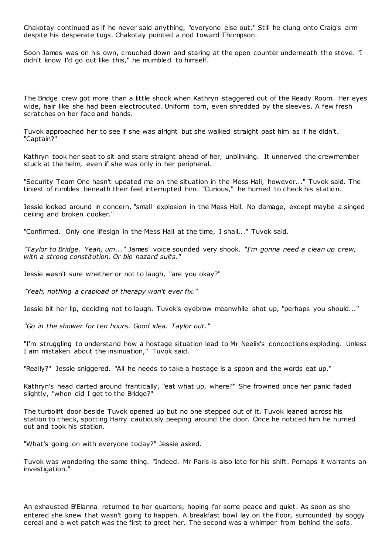Chakotay continued as if he never said anything, "everyone else out." Still he clung onto Craig's arm despite his desperate tugs. Chakotay pointed a nod toward Thompson.

Soon James was on his own, crouched down and staring at the open counter underneath the stove. "I didn't know I'd go out like this," he mumbled to himself.

The Bridge crew got more than a little shock when Kathryn staggered out of the Ready Room. Her eyes wide, hair like she had been electrocuted. Uniform torn, even shredded by the sleeves. A few fresh scratches on her face and hands.

Tuvok approached her to see if she was alright but she walked straight past him as if he didn't. "Captain?"

Kathryn took her seat to sit and stare straight ahead of her, unblinking. It unnerved the crewmember stuck at the helm, even if she was only in her peripheral.

"Security Team One hasn't updated me on the situation in the Mess Hall, however..." Tuvok said. The tiniest of rumbles beneath their feet interrupted him. "Curious," he hurried to check his station.

Jessie looked around in concern, "small explosion in the Mess Hall. No damage, except maybe a singed ceiling and broken cooker."

"Confirmed. Only one lifesign in the Mess Hall at the time, I shall..." Tuvok said.

*"Taylor to Bridge. Yeah, um..."* James' voice sounded very shook. *"I'm gonna need a clean up crew, with a strong constitution. Or bio hazard suits."*

Jessie wasn't sure whether or not to laugh, "are you okay?"

*"Yeah, nothing a crapload of therapy won't ever fix."*

Jessie bit her lip, deciding not to laugh. Tuvok's eyebrow meanwhile shot up, "perhaps you should..."

*"Go in the shower for ten hours. Good idea. Taylor out."*

"I'm struggling to understand how a hostage situation lead to Mr Neelix's concoctions exploding. Unless I am mistaken about the insinuation," Tuvok said.

"Really?" Jessie sniggered. "All he needs to take a hostage is a spoon and the words eat up."

Kathryn's head darted around frantically, "eat what up, where?" She frowned once her panic faded slightly, "when did I get to the Bridge?"

The turbolift door beside Tuvok opened up but no one stepped out of it. Tuvok leaned across his station to check, spotting Harry cautiously peeping around the door. Once he noticed him he hurried out and took his station.

"What's going on with everyone today?" Jessie asked.

Tuvok was wondering the same thing. "Indeed. Mr Paris is also late for his shift. Perhaps it warrants an investigation."

An exhausted B'Elanna returned to her quarters, hoping for some peace and quiet. As soon as she entered she knew that wasn't going to happen. A breakfast bowl lay on the floor, surrounded by soggy cereal and a wet patch was the first to greet her. The second was a whimper from behind the sofa.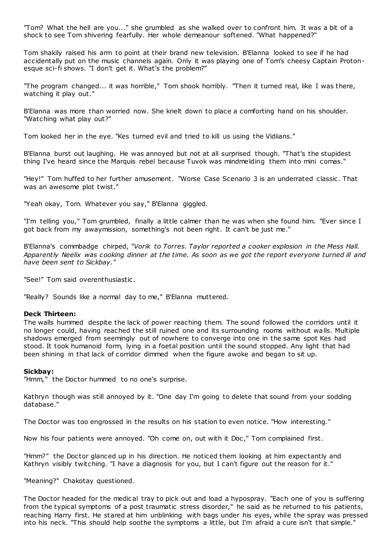"Tom? What the hell are you..." she grumbled as she walked over to confront him. It was a bit of a shock to see Tom shivering fearfully. Her whole demeanour softened. "What happened?"

Tom shakily raised his arm to point at their brand new television. B'Elanna looked to see if he had accidentally put on the music channels again. Only it was playing one of Tom's cheesy Captain Protonesque sci-fi shows. "I don't get it. What's the problem?"

"The program changed... it was horrible," Tom shook horribly. "Then it turned real, like I was there, watching it play out."

B'Elanna was more than worried now. She knelt down to place a comforting hand on his shoulder. "Watching what play out?"

Tom looked her in the eye. "Kes turned evil and tried to kill us using the Vidiians."

B'Elanna burst out laughing. He was annoyed but not at all surprised though. "That's the stupidest thing I've heard since the Marquis rebel because Tuvok was mindmelding them into mini comas."

"Hey!" Tom huffed to her further amusement. "Worse Case Scenario 3 is an underrated classic . That was an awesome plot twist."

"Yeah okay, Tom. Whatever you say," B'Elanna giggled.

"I'm telling you," Tom grumbled, finally a little calmer than he was when she found him. "Ever since I got back from my awaymission, something's not been right. It can't be just me."

B'Elanna's commbadge chirped, "*Vorik to Torres. Taylor reported a cooker explosion in the Mess Hall. Apparently Neelix was cooking dinner at the time. As soon as we got the report everyone turned ill and have been sent to Sickbay."*

"See!" Tom said overenthusiastic .

"Really? Sounds like a normal day to me," B'Elanna muttered.

### **Deck Thirteen:**

The walls hummed despite the lack of power reaching them. The sound followed the corridors until it no longer could, having reached the still ruined one and its surrounding rooms without walls. Multiple shadows emerged from seemingly out of nowhere to converge into one in the same spot Kes had stood. It took humanoid form, lying in a foetal position until the sound stopped. Any light that had been shining in that lack of corridor dimmed when the figure awoke and began to sit up.

#### **Sickbay:**

"Hmm," the Doctor hummed to no one's surprise.

Kathryn though was still annoyed by it. "One day I'm going to delete that sound from your sodding database."

The Doctor was too engrossed in the results on his station to even notice. "How interesting."

Now his four patients were annoyed. "Oh come on, out with it Doc," Tom complained first.

"Hmm?" the Doctor glanced up in his direction. He noticed them looking at him expectantly and Kathryn visibly twitching. "I have a diagnosis for you, but I can't figure out the reason for it."

"Meaning?" Chakotay questioned.

The Doctor headed for the medical tray to pick out and load a hypospray. "Each one of you is suffering from the typical symptoms of a post traumatic stress disorder," he said as he returned to his patients, reaching Harry first. He stared at him unblinking with bags under his eyes, while the spray was pressed into his neck. "This should help soothe the symptoms a little, but I'm afraid a cure isn't that simple."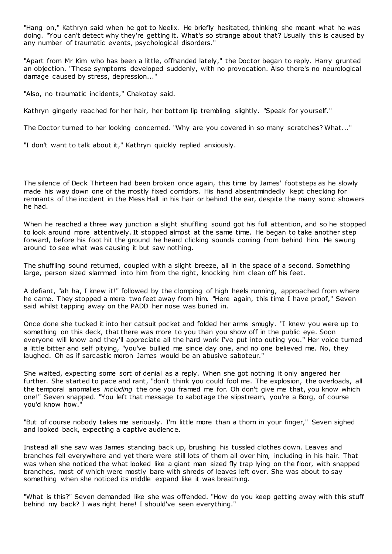"Hang on," Kathryn said when he got to Neelix. He briefly hesitated, thinking she meant what he was doing. "You can't detect why they're getting it. What's so strange about that? Usually this is caused by any number of traumatic events, psychological disorders."

"Apart from Mr Kim who has been a little, offhanded lately," the Doctor began to reply. Harry grunted an objection. "These symptoms developed suddenly, with no provocation. Also there's no neurological damage caused by stress, depression..."

"Also, no traumatic incidents," Chakotay said.

Kathryn gingerly reached for her hair, her bottom lip trembling slightly. "Speak for yourself."

The Doctor turned to her looking concerned. "Why are you covered in so many scratches? What..."

"I don't want to talk about it," Kathryn quickly replied anxiously.

The silence of Deck Thirteen had been broken once again, this time by James' foot steps as he slowly made his way down one of the mostly fixed corridors. His hand absentmindedly kept checking for remnants of the incident in the Mess Hall in his hair or behind the ear, despite the many sonic showers he had.

When he reached a three way junction a slight shuffling sound got his full attention, and so he stopped to look around more attentively. It stopped almost at the same time. He began to take another step forward, before his foot hit the ground he heard clicking sounds coming from behind him. He swung around to see what was causing it but saw nothing.

The shuffling sound returned, coupled with a slight breeze, all in the space of a second. Something large, person sized slammed into him from the right, knocking him clean off his feet.

A defiant, "ah ha, I knew it!" followed by the clomping of high heels running, approached from where he came. They stopped a mere two feet away from him. "Here again, this time I have proof," Seven said whilst tapping away on the PADD her nose was buried in.

Once done she tucked it into her catsuit pocket and folded her arms smugly. "I knew you were up to something on this deck, that there was more to you than you show off in the public eye. Soon everyone will know and they'll appreciate all the hard work I've put into outing you." Her voice turned a little bitter and self pitying, "you've bullied me since day one, and no one believed me. No, they laughed. Oh as if sarcastic moron James would be an abusive saboteur."

She waited, expecting some sort of denial as a reply. When she got nothing it only angered her further. She started to pace and rant, "don't think you could fool me. The explosion, the overloads, all the temporal anomalies *including* the one you framed me for. Oh don't give me that, you know which one!" Seven snapped. "You left that message to sabotage the slipstream, you're a Borg, of course you'd know how."

"But of course nobody takes me seriously. I'm little more than a thorn in your finger," Seven sighed and looked back, expecting a captive audienc e.

Instead all she saw was James standing back up, brushing his tussled clothes down. Leaves and branches fell everywhere and yet there were still lots of them all over him, including in his hair. That was when she noticed the what looked like a giant man sized fly trap lying on the floor, with snapped branches, most of which were mostly bare with shreds of leaves left over. She was about to say something when she noticed its middle expand like it was breathing.

"What is this?" Seven demanded like she was offended. "How do you keep getting away with this stuff behind my back? I was right here! I should've seen everything."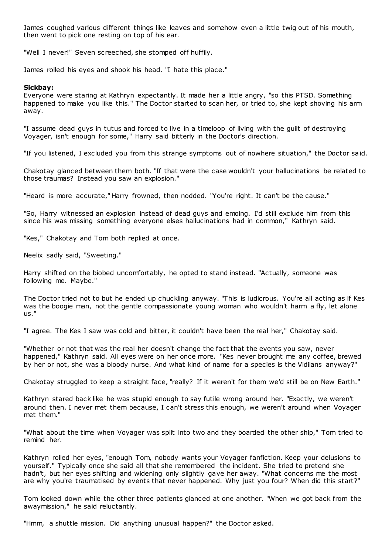James coughed various different things like leaves and somehow even a little twig out of his mouth, then went to pick one resting on top of his ear.

"Well I never!" Seven screeched, she stomped off huffily.

James rolled his eyes and shook his head. "I hate this place."

## **Sickbay:**

Everyone were staring at Kathryn expectantly. It made her a little angry, "so this PTSD. Something happened to make you like this." The Doctor started to scan her, or tried to, she kept shoving his arm away.

"I assume dead guys in tutus and forced to live in a timeloop of living with the guilt of destroying Voyager, isn't enough for some," Harry said bitterly in the Doctor's direction.

"If you listened, I excluded you from this strange symptoms out of nowhere situation," the Doctor said.

Chakotay glanced between them both. "If that were the case wouldn't your hallucinations be related to those traumas? Instead you saw an explosion."

"Heard is more accurate," Harry frowned, then nodded. "You're right. It can't be the cause."

"So, Harry witnessed an explosion instead of dead guys and emoing. I'd still exclude him from this since his was missing something everyone elses hallucinations had in common," Kathryn said.

"Kes," Chakotay and Tom both replied at once.

Neelix sadly said, "Sweeting."

Harry shifted on the biobed uncomfortably, he opted to stand instead. "Actually, someone was following me. Maybe."

The Doctor tried not to but he ended up chuckling anyway. "This is ludicrous. You're all acting as if Kes was the boogie man, not the gentle compassionate young woman who wouldn't harm a fly, let alone us."

"I agree. The Kes I saw was cold and bitter, it couldn't have been the real her," Chakotay said.

"Whether or not that was the real her doesn't change the fact that the events you saw, never happened," Kathryn said. All eyes were on her once more. "Kes never brought me any coffee, brewed by her or not, she was a bloody nurse. And what kind of name for a species is the Vidiians anyway?"

Chakotay struggled to keep a straight face, "really? If it weren't for them we'd still be on New Earth."

Kathryn stared back like he was stupid enough to say futile wrong around her. "Exactly, we weren't around then. I never met them because, I can't stress this enough, we weren't around when Voyager met them."

"What about the time when Voyager was split into two and they boarded the other ship," Tom tried to remind her.

Kathryn rolled her eyes, "enough Tom, nobody wants your Voyager fanfiction. Keep your delusions to yourself." Typically once she said all that she remembered the incident. She tried to pretend she hadn't, but her eyes shifting and widening only slightly gave her away. "What concerns me the most are why you're traumatised by events that never happened. Why just you four? When did this start?"

Tom looked down while the other three patients glanced at one another. "When we got back from the awaymission," he said reluctantly.

"Hmm, a shuttle mission. Did anything unusual happen?" the Doctor asked.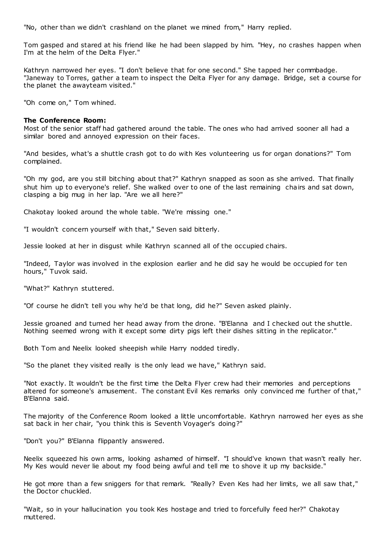"No, other than we didn't crashland on the planet we mined from," Harry replied.

Tom gasped and stared at his friend like he had been slapped by him. "Hey, no crashes happen when I'm at the helm of the Delta Flyer."

Kathryn narrowed her eyes. "I don't believe that for one second." She tapped her commbadge. "Janeway to Torres, gather a team to inspect the Delta Flyer for any damage. Bridge, set a course for the planet the awayteam visited."

"Oh come on," Tom whined.

## **The Conference Room:**

Most of the senior staff had gathered around the table. The ones who had arrived sooner all had a similar bored and annoyed expression on their faces.

"And besides, what's a shuttle crash got to do with Kes volunteering us for organ donations?" Tom complained.

"Oh my god, are you still bitching about that?" Kathryn snapped as soon as she arrived. That finally shut him up to everyone's relief. She walked over to one of the last remaining chairs and sat down, clasping a big mug in her lap. "Are we all here?"

Chakotay looked around the whole table. "We're missing one."

"I wouldn't concern yourself with that," Seven said bitterly.

Jessie looked at her in disgust while Kathryn scanned all of the occupied chairs.

"Indeed, Taylor was involved in the explosion earlier and he did say he would be occupied for ten hours," Tuvok said.

"What?" Kathryn stuttered.

"Of course he didn't tell you why he'd be that long, did he?" Seven asked plainly.

Jessie groaned and turned her head away from the drone. "B'Elanna and I checked out the shuttle. Nothing seemed wrong with it except some dirty pigs left their dishes sitting in the replicator."

Both Tom and Neelix looked sheepish while Harry nodded tiredly.

"So the planet they visited really is the only lead we have," Kathryn said.

"Not exactly. It wouldn't be the first time the Delta Flyer crew had their memories and perceptions altered for someone's amusement. The constant Evil Kes remarks only convinced me further of that," B'Elanna said.

The majority of the Conference Room looked a little uncomfortable. Kathryn narrowed her eyes as she sat back in her chair, "you think this is Seventh Voyager's doing?"

"Don't you?" B'Elanna flippantly answered.

Neelix squeezed his own arms, looking ashamed of himself. "I should've known that wasn't really her. My Kes would never lie about my food being awful and tell me to shove it up my backside."

He got more than a few sniggers for that remark. "Really? Even Kes had her limits, we all saw that," the Doctor chuckled.

"Wait, so in your hallucination you took Kes hostage and tried to forcefully feed her?" Chakotay muttered.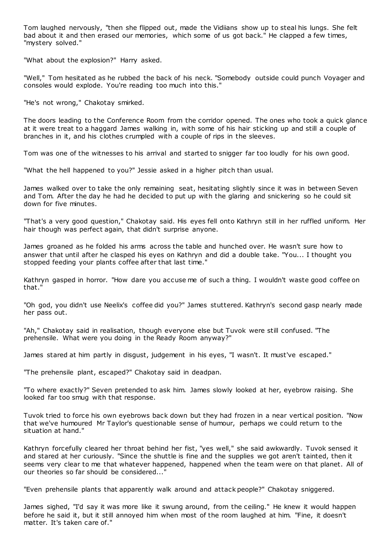Tom laughed nervously, "then she flipped out, made the Vidiians show up to steal his lungs. She felt bad about it and then erased our memories, which some of us got back." He clapped a few times, "mystery solved."

"What about the explosion?" Harry asked.

"Well," Tom hesitated as he rubbed the back of his neck. "Somebody outside could punch Voyager and consoles would explode. You're reading too much into this."

"He's not wrong," Chakotay smirked.

The doors leading to the Conference Room from the corridor opened. The ones who took a quick glance at it were treat to a haggard James walking in, with some of his hair sticking up and still a couple of branches in it, and his clothes crumpled with a couple of rips in the sleeves.

Tom was one of the witnesses to his arrival and started to snigger far too loudly for his own good.

"What the hell happened to you?" Jessie asked in a higher pitch than usual.

James walked over to take the only remaining seat, hesitating slightly since it was in between Seven and Tom. After the day he had he decided to put up with the glaring and snickering so he could sit down for five minutes.

"That's a very good question," Chakotay said. His eyes fell onto Kathryn still in her ruffled uniform. Her hair though was perfect again, that didn't surprise anyone.

James groaned as he folded his arms across the table and hunched over. He wasn't sure how to answer that until after he clasped his eyes on Kathryn and did a double take. "You... I thought you stopped feeding your plants coffee after that last time."

Kathryn gasped in horror. "How dare you accuse me of such a thing. I wouldn't waste good coffee on that."

"Oh god, you didn't use Neelix's coffee did you?" James stuttered. Kathryn's second gasp nearly made her pass out.

"Ah," Chakotay said in realisation, though everyone else but Tuvok were still confused. "The prehensile. What were you doing in the Ready Room anyway?"

James stared at him partly in disgust, judgement in his eyes, "I wasn't. It must've escaped."

"The prehensile plant, escaped?" Chakotay said in deadpan.

"To where exactly?" Seven pretended to ask him. James slowly looked at her, eyebrow raising. She looked far too smug with that response.

Tuvok tried to force his own eyebrows back down but they had frozen in a near vertical position. "Now that we've humoured Mr Taylor's questionable sense of humour, perhaps we could return to the situation at hand."

Kathryn forcefully cleared her throat behind her fist, "yes well," she said awkwardly. Tuvok sensed it and stared at her curiously. "Since the shuttle is fine and the supplies we got aren't tainted, then it seems very clear to me that whatever happened, happened when the team were on that planet. All of our theories so far should be considered..."

"Even prehensile plants that apparently walk around and attack people?" Chakotay sniggered.

James sighed, "I'd say it was more like it swung around, from the ceiling." He knew it would happen before he said it, but it still annoyed him when most of the room laughed at him. "Fine, it doesn't matter. It's taken care of."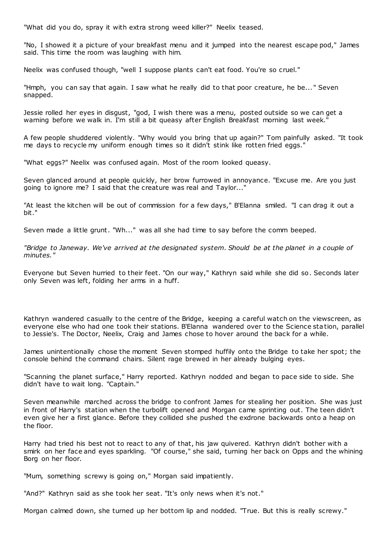"What did you do, spray it with extra strong weed killer?" Neelix teased.

"No, I showed it a picture of your breakfast menu and it jumped into the nearest escape pod," James said. This time the room was laughing with him.

Neelix was confused though, "well I suppose plants can't eat food. You're so cruel."

"Hmph, you can say that again. I saw what he really did to that poor creature, he be... " Seven snapped.

Jessie rolled her eyes in disgust, "god, I wish there was a menu, posted outside so we can get a warning before we walk in. I'm still a bit queasy after English Breakfast morning last week."

A few people shuddered violently. "Why would you bring that up again?" Tom painfully asked. "It took me days to recycle my uniform enough times so it didn't stink like rotten fried eggs."

"What eggs?" Neelix was confused again. Most of the room looked queasy.

Seven glanced around at people quickly, her brow furrowed in annoyance. "Excuse me. Are you just going to ignore me? I said that the creature was real and Taylor..."

"At least the kitchen will be out of commission for a few days," B'Elanna smiled. "I can drag it out a bit."

Seven made a little grunt. "Wh..." was all she had time to say before the comm beeped.

*"Bridge to Janeway. We've arrived at the designated system. Should be at the planet in a couple of minutes."*

Everyone but Seven hurried to their feet. "On our way," Kathryn said while she did so. Seconds later only Seven was left, folding her arms in a huff.

Kathryn wandered casually to the centre of the Bridge, keeping a careful watch on the viewscreen, as everyone else who had one took their stations. B'Elanna wandered over to the Science station, parallel to Jessie's. The Doctor, Neelix, Craig and James chose to hover around the back for a while.

James unintentionally chose the moment Seven stomped huffily onto the Bridge to take her spot; the console behind the command chairs. Silent rage brewed in her already bulging eyes.

"Scanning the planet surface," Harry reported. Kathryn nodded and began to pace side to side. She didn't have to wait long. "Captain."

Seven meanwhile marched across the bridge to confront James for stealing her position. She was just in front of Harry's station when the turbolift opened and Morgan came sprinting out. The teen didn't even give her a first glance. Before they collided she pushed the exdrone backwards onto a heap on the floor.

Harry had tried his best not to react to any of that, his jaw quivered. Kathryn didn't bother with a smirk on her face and eyes sparkling. "Of course," she said, turning her back on Opps and the whining Borg on her floor.

"Mum, something screwy is going on," Morgan said impatiently.

"And?" Kathryn said as she took her seat. "It's only news when it's not."

Morgan calmed down, she turned up her bottom lip and nodded. "True. But this is really screwy."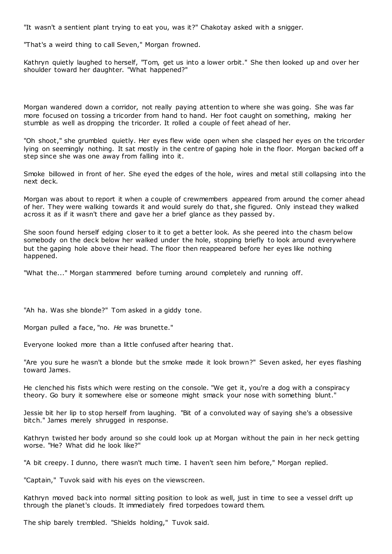"It wasn't a sentient plant trying to eat you, was it?" Chakotay asked with a snigger.

"That's a weird thing to call Seven," Morgan frowned.

Kathryn quietly laughed to herself, "Tom, get us into a lower orbit." She then looked up and over her shoulder toward her daughter. "What happened?"

Morgan wandered down a corridor, not really paying attention to where she was going. She was far more focused on tossing a tricorder from hand to hand. Her foot caught on something, making her stumble as well as dropping the tricorder. It rolled a couple of feet ahead of her.

"Oh shoot," she grumbled quietly. Her eyes flew wide open when she clasped her eyes on the tricorder lying on seemingly nothing. It sat mostly in the centre of gaping hole in the floor. Morgan backed off a step since she was one away from falling into it.

Smoke billowed in front of her. She eyed the edges of the hole, wires and metal still collapsing into the next deck.

Morgan was about to report it when a couple of crewmembers appeared from around the corner ahead of her. They were walking towards it and would surely do that, she figured. Only instead they walked across it as if it wasn't there and gave her a brief glance as they passed by.

She soon found herself edging closer to it to get a better look. As she peered into the chasm below somebody on the deck below her walked under the hole, stopping briefly to look around everywhere but the gaping hole above their head. The floor then reappeared before her eyes like nothing happened.

"What the..." Morgan stammered before turning around completely and running off.

"Ah ha. Was she blonde?" Tom asked in a giddy tone.

Morgan pulled a face, "no. *He* was brunette."

Everyone looked more than a little confused after hearing that.

"Are you sure he wasn't a blonde but the smoke made it look brown?" Seven asked, her eyes flashing toward James.

He clenched his fists which were resting on the console. "We get it, you're a dog with a conspiracy theory. Go bury it somewhere else or someone might smack your nose with something blunt."

Jessie bit her lip to stop herself from laughing. "Bit of a convoluted way of saying she's a obsessive bitch." James merely shrugged in response.

Kathryn twisted her body around so she could look up at Morgan without the pain in her neck getting worse. "He? What did he look like?"

"A bit creepy. I dunno, there wasn't much time. I haven't seen him before," Morgan replied.

"Captain," Tuvok said with his eyes on the viewscreen.

Kathryn moved back into normal sitting position to look as well, just in time to see a vessel drift up through the planet's clouds. It immediately fired torpedoes toward them.

The ship barely trembled. "Shields holding," Tuvok said.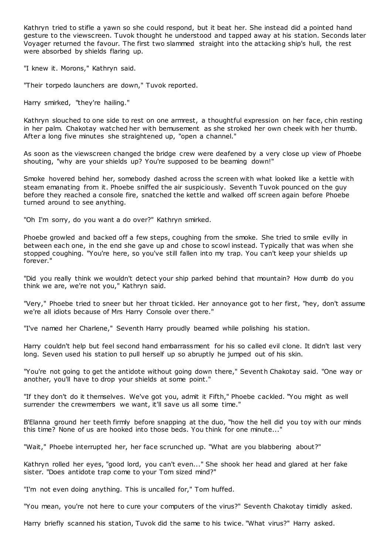Kathryn tried to stifle a yawn so she could respond, but it beat her. She instead did a pointed hand gesture to the viewscreen. Tuvok thought he understood and tapped away at his station. Seconds later Voyager returned the favour. The first two slammed straight into the attacking ship's hull, the rest were absorbed by shields flaring up.

"I knew it. Morons," Kathryn said.

"Their torpedo launchers are down," Tuvok reported.

Harry smirked, "they're hailing."

Kathryn slouched to one side to rest on one armrest, a thoughtful expression on her face, chin resting in her palm. Chakotay watched her with bemusement as she stroked her own cheek with her thumb. After a long five minutes she straightened up, "open a channel."

As soon as the viewscreen changed the bridge crew were deafened by a very close up view of Phoebe shouting, "why are your shields up? You're supposed to be beaming down!"

Smoke hovered behind her, somebody dashed across the screen with what looked like a kettle with steam emanating from it. Phoebe sniffed the air suspiciously. Seventh Tuvok pounced on the guy before they reached a console fire, snatched the kettle and walked off screen again before Phoebe turned around to see anything.

"Oh I'm sorry, do you want a do over?" Kathryn smirked.

Phoebe growled and backed off a few steps, coughing from the smoke. She tried to smile evilly in between each one, in the end she gave up and chose to scowl instead. Typically that was when she stopped coughing. "You're here, so you've still fallen into my trap. You can't keep your shields up forever."

"Did you really think we wouldn't detect your ship parked behind that mountain? How dumb do you think we are, we're not you," Kathryn said.

"Very," Phoebe tried to sneer but her throat tickled. Her annoyance got to her first, "hey, don't assume we're all idiots because of Mrs Harry Console over there."

"I've named her Charlene," Seventh Harry proudly beamed while polishing his station.

Harry couldn't help but feel second hand embarrassment for his so called evil clone. It didn't last very long. Seven used his station to pull herself up so abruptly he jumped out of his skin.

"You're not going to get the antidote without going down there," Seventh Chakotay said. "One way or another, you'll have to drop your shields at some point."

"If they don't do it themselves. We've got you, admit it Fifth," Phoebe cackled. "You might as well surrender the crewmembers we want, it'll save us all some time."

B'Elanna ground her teeth firmly before snapping at the duo, "how the hell did you toy with our minds this time? None of us are hooked into those beds. You think for one minute..."

"Wait," Phoebe interrupted her, her face scrunched up. "What are you blabbering about?"

Kathryn rolled her eyes, "good lord, you can't even..." She shook her head and glared at her fake sister. "Does antidote trap come to your Tom sized mind?"

"I'm not even doing anything. This is uncalled for," Tom huffed.

"You mean, you're not here to cure your computers of the virus?" Seventh Chakotay timidly asked.

Harry briefly scanned his station, Tuvok did the same to his twice. "What virus?" Harry asked.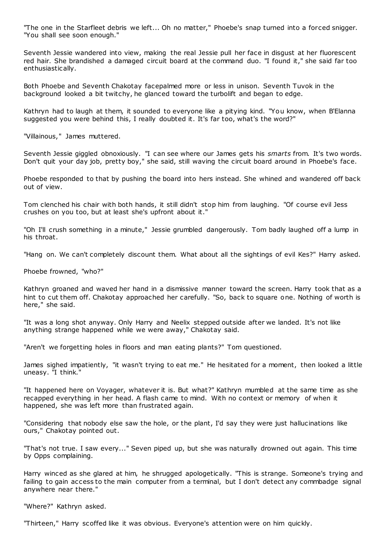"The one in the Starfleet debris we left... Oh no matter," Phoebe's snap turned into a forced snigger. "You shall see soon enough."

Seventh Jessie wandered into view, making the real Jessie pull her face in disgust at her fluorescent red hair. She brandished a damaged circuit board at the command duo. "I found it," she said far too enthusiastically.

Both Phoebe and Seventh Chakotay facepalmed more or less in unison. Seventh Tuvok in the background looked a bit twitchy, he glanced toward the turbolift and began to edge.

Kathryn had to laugh at them, it sounded to everyone like a pitying kind. "You know, when B'Elanna suggested you were behind this, I really doubted it. It's far too, what's the word?"

"Villainous," James muttered.

Seventh Jessie giggled obnoxiously. "I can see where our James gets his *smarts* from. It's two words. Don't quit your day job, pretty boy," she said, still waving the circuit board around in Phoebe's face.

Phoebe responded to that by pushing the board into hers instead. She whined and wandered off back out of view.

Tom clenched his chair with both hands, it still didn't stop him from laughing. "Of course evil Jess crushes on you too, but at least she's upfront about it."

"Oh I'll crush something in a minute," Jessie grumbled dangerously. Tom badly laughed off a lump in his throat.

"Hang on. We can't completely discount them. What about all the sightings of evil Kes?" Harry asked.

Phoebe frowned, "who?"

Kathryn groaned and waved her hand in a dismissive manner toward the screen. Harry took that as a hint to cut them off. Chakotay approached her carefully. "So, back to square one. Nothing of worth is here," she said.

"It was a long shot anyway. Only Harry and Neelix stepped outside after we landed. It's not like anything strange happened while we were away," Chakotay said.

"Aren't we forgetting holes in floors and man eating plants?" Tom questioned.

James sighed impatiently, "it wasn't trying to eat me." He hesitated for a moment, then looked a little uneasy. "I think."

"It happened here on Voyager, whatever it is. But what?" Kathryn mumbled at the same time as she recapped everything in her head. A flash came to mind. With no context or memory of when it happened, she was left more than frustrated again.

"Considering that nobody else saw the hole, or the plant, I'd say they were just hallucinations like ours," Chakotay pointed out.

"That's not true. I saw every..." Seven piped up, but she was naturally drowned out again. This time by Opps complaining.

Harry winced as she glared at him, he shrugged apologetically. "This is strange. Someone's trying and failing to gain access to the main computer from a terminal, but I don't detect any commbadge signal anywhere near there."

"Where?" Kathryn asked.

"Thirteen," Harry scoffed like it was obvious. Everyone's attention were on him quickly.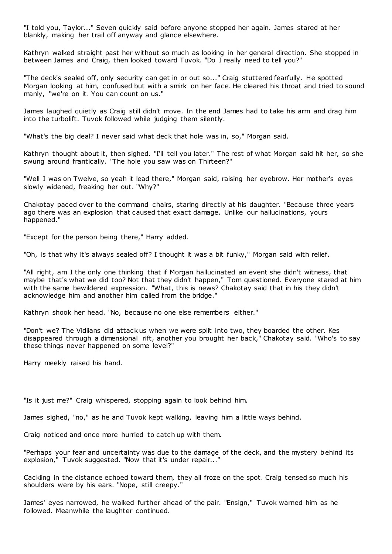"I told you, Taylor..." Seven quickly said before anyone stopped her again. James stared at her blankly, making her trail off anyway and glance elsewhere.

Kathryn walked straight past her without so much as looking in her general direction. She stopped in between James and Craig, then looked toward Tuvok. "Do I really need to tell you?"

"The deck's sealed off, only security can get in or out so..." Craig stuttered fearfully. He spotted Morgan looking at him, confused but with a smirk on her face. He cleared his throat and tried to sound manly, "we're on it. You can count on us."

James laughed quietly as Craig still didn't move. In the end James had to take his arm and drag him into the turbolift. Tuvok followed while judging them silently.

"What's the big deal? I never said what deck that hole was in, so," Morgan said.

Kathryn thought about it, then sighed. "I'll tell you later." The rest of what Morgan said hit her, so she swung around frantically. "The hole you saw was on Thirteen?"

"Well I was on Twelve, so yeah it lead there," Morgan said, raising her eyebrow. Her mother's eyes slowly widened, freaking her out. "Why?"

Chakotay paced over to the command chairs, staring directly at his daughter. "Because three years ago there was an explosion that caused that exact damage. Unlike our hallucinations, yours happened."

"Except for the person being there," Harry added.

"Oh, is that why it's always sealed off? I thought it was a bit funky," Morgan said with relief.

"All right, am I the only one thinking that if Morgan hallucinated an event she didn't witness, that maybe that's what we did too? Not that they didn't happen," Tom questioned. Everyone stared at him with the same bewildered expression. "What, this is news? Chakotay said that in his they didn't acknowledge him and another him called from the bridge."

Kathryn shook her head. "No, because no one else remembers either."

"Don't we? The Vidiians did attack us when we were split into two, they boarded the other. Kes disappeared through a dimensional rift, another you brought her back," Chakotay said. "Who's to say these things never happened on some level?"

Harry meekly raised his hand.

"Is it just me?" Craig whispered, stopping again to look behind him.

James sighed, "no," as he and Tuvok kept walking, leaving him a little ways behind.

Craig noticed and once more hurried to catch up with them.

"Perhaps your fear and uncertainty was due to the damage of the deck, and the mystery behind its explosion," Tuvok suggested. "Now that it's under repair..."

Cackling in the distance echoed toward them, they all froze on the spot. Craig tensed so much his shoulders were by his ears. "Nope, still creepy."

James' eyes narrowed, he walked further ahead of the pair. "Ensign," Tuvok warned him as he followed. Meanwhile the laughter continued.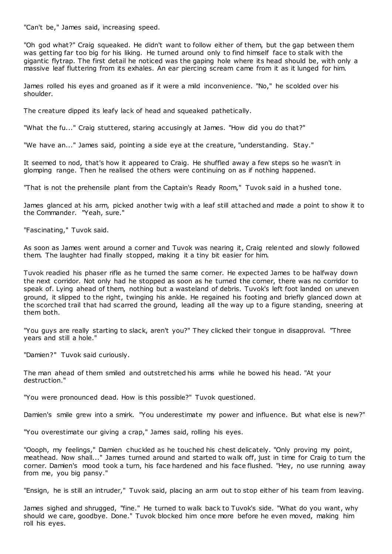"Can't be," James said, increasing speed.

"Oh god what?" Craig squeaked. He didn't want to follow either of them, but the gap between them was getting far too big for his liking. He turned around only to find himself face to stalk with the gigantic flytrap. The first detail he noticed was the gaping hole where its head should be, with only a massive leaf fluttering from its exhales. An ear piercing scream came from it as it lunged for him.

James rolled his eyes and groaned as if it were a mild inconvenience. "No," he scolded over his shoulder.

The creature dipped its leafy lack of head and squeaked pathetically.

"What the fu..." Craig stuttered, staring accusingly at James. "How did you do that?"

"We have an..." James said, pointing a side eye at the creature, "understanding. Stay."

It seemed to nod, that's how it appeared to Craig. He shuffled away a few steps so he wasn't in glomping range. Then he realised the others were continuing on as if nothing happened.

"That is not the prehensile plant from the Captain's Ready Room," Tuvok said in a hushed tone.

James glanced at his arm, picked another twig with a leaf still attached and made a point to show it to the Commander. "Yeah, sure."

"Fascinating," Tuvok said.

As soon as James went around a corner and Tuvok was nearing it, Craig relented and slowly followed them. The laughter had finally stopped, making it a tiny bit easier for him.

Tuvok readied his phaser rifle as he turned the same corner. He expected James to be halfway down the next corridor. Not only had he stopped as soon as he turned the corner, there was no corridor to speak of. Lying ahead of them, nothing but a wasteland of debris. Tuvok's left foot landed on uneven ground, it slipped to the right, twinging his ankle. He regained his footing and briefly glanced down at the scorched trail that had scarred the ground, leading all the way up to a figure standing, sneering at them both.

"You guys are really starting to slack, aren't you?" They clicked their tongue in disapproval. "Three years and still a hole."

"Damien?" Tuvok said curiously.

The man ahead of them smiled and outstretched his arms while he bowed his head. "At your destruction."

"You were pronounced dead. How is this possible?" Tuvok questioned.

Damien's smile grew into a smirk. "You underestimate my power and influence. But what else is new?"

"You overestimate our giving a crap," James said, rolling his eyes.

"Oooph, my feelings," Damien chuckled as he touched his chest delicately. "Only proving my point, meathead. Now shall..." James turned around and started to walk off, just in time for Craig to turn the corner. Damien's mood took a turn, his face hardened and his face flushed. "Hey, no use running away from me, you big pansy."

"Ensign, he is still an intruder," Tuvok said, placing an arm out to stop either of his team from leaving.

James sighed and shrugged, "fine." He turned to walk back to Tuvok's side. "What do you want, why should we care, goodbye. Done." Tuvok blocked him once more before he even moved, making him roll his eyes.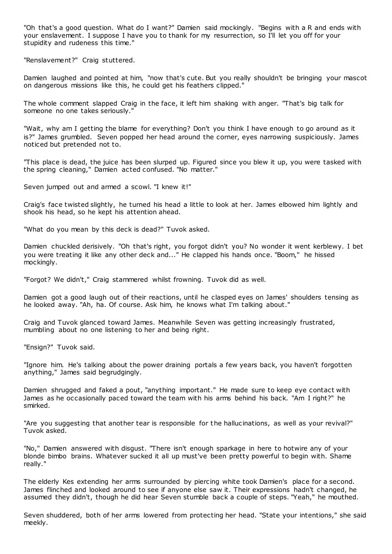"Oh that's a good question. What do I want?" Damien said mockingly. "Begins with a R and ends with your enslavement. I suppose I have you to thank for my resurrection, so I'll let you off for your stupidity and rudeness this time."

"Renslavement?" Craig stuttered.

Damien laughed and pointed at him, "now that's cute. But you really shouldn't be bringing your mascot on dangerous missions like this, he could get his feathers clipped."

The whole comment slapped Craig in the face, it left him shaking with anger. "That's big talk for someone no one takes seriously."

"Wait, why am I getting the blame for everything? Don't you think I have enough to go around as it is?" James grumbled. Seven popped her head around the corner, eyes narrowing suspiciously. James noticed but pretended not to.

"This place is dead, the juice has been slurped up. Figured since you blew it up, you were tasked with the spring cleaning," Damien acted confused. "No matter."

Seven jumped out and armed a scowl. "I knew it!"

Craig's face twisted slightly, he turned his head a little to look at her. James elbowed him lightly and shook his head, so he kept his attention ahead.

"What do you mean by this deck is dead?" Tuvok asked.

Damien chuckled derisively. "Oh that's right, you forgot didn't you? No wonder it went kerblewy. I bet you were treating it like any other deck and..." He clapped his hands once. "Boom," he hissed mockingly.

"Forgot? We didn't," Craig stammered whilst frowning. Tuvok did as well.

Damien got a good laugh out of their reactions, until he clasped eyes on James' shoulders tensing as he looked away. "Ah, ha. Of course. Ask him, he knows what I'm talking about."

Craig and Tuvok glanced toward James. Meanwhile Seven was getting increasingly frustrated, mumbling about no one listening to her and being right.

"Ensign?" Tuvok said.

"Ignore him. He's talking about the power draining portals a few years back, you haven't forgotten anything," James said begrudgingly.

Damien shrugged and faked a pout, "anything important." He made sure to keep eye contact with James as he occasionally paced toward the team with his arms behind his back. "Am I right?" he smirked.

"Are you suggesting that another tear is responsible for the hallucinations, as well as your revival?" Tuvok asked.

"No," Damien answered with disgust. "There isn't enough sparkage in here to hotwire any of your blonde bimbo brains. Whatever sucked it all up must've been pretty powerful to begin with. Shame really."

The elderly Kes extending her arms surrounded by piercing white took Damien's place for a second. James flinched and looked around to see if anyone else saw it. Their expressions hadn't changed, he assumed they didn't, though he did hear Seven stumble back a couple of steps. "Yeah," he mouthed.

Seven shuddered, both of her arms lowered from protecting her head. "State your intentions," she said meekly.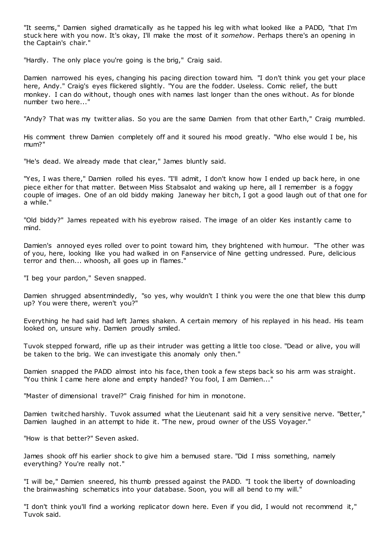"It seems," Damien sighed dramatically as he tapped his leg with what looked like a PADD, "that I'm stuck here with you now. It's okay, I'll make the most of it *somehow*. Perhaps there's an opening in the Captain's chair."

"Hardly. The only place you're going is the brig," Craig said.

Damien narrowed his eyes, changing his pacing direction toward him. "I don't think you get your place here, Andy." Craig's eyes flickered slightly. "You are the fodder. Useless. Comic relief, the butt monkey. I can do without, though ones with names last longer than the ones without. As for blonde number two here..."

"Andy? That was my twitter alias. So you are the same Damien from that other Earth," Craig mumbled.

His comment threw Damien completely off and it soured his mood greatly. "Who else would I be, his mum?"

"He's dead. We already made that clear," James bluntly said.

"Yes, I was there," Damien rolled his eyes. "I'll admit, I don't know how I ended up back here, in one piece either for that matter. Between Miss Stabsalot and waking up here, all I remember is a foggy couple of images. One of an old biddy making Janeway her bitch, I got a good laugh out of that one for a while."

"Old biddy?" James repeated with his eyebrow raised. The image of an older Kes instantly came to mind.

Damien's annoyed eyes rolled over to point toward him, they brightened with humour. "The other was of you, here, looking like you had walked in on Fanservice of Nine getting undressed. Pure, delicious terror and then... whoosh, all goes up in flames."

"I beg your pardon," Seven snapped.

Damien shrugged absentmindedly, "so yes, why wouldn't I think you were the one that blew this dump up? You were there, weren't you?"

Everything he had said had left James shaken. A certain memory of his replayed in his head. His team looked on, unsure why. Damien proudly smiled.

Tuvok stepped forward, rifle up as their intruder was getting a little too close. "Dead or alive, you will be taken to the brig. We can investigate this anomaly only then."

Damien snapped the PADD almost into his face, then took a few steps back so his arm was straight. "You think I came here alone and empty handed? You fool, I am Damien..."

"Master of dimensional travel?" Craig finished for him in monotone.

Damien twitched harshly. Tuvok assumed what the Lieutenant said hit a very sensitive nerve. "Better," Damien laughed in an attempt to hide it. "The new, proud owner of the USS Voyager."

"How is that better?" Seven asked.

James shook off his earlier shock to give him a bemused stare. "Did I miss something, namely everything? You're really not."

"I will be," Damien sneered, his thumb pressed against the PADD. "I took the liberty of downloading the brainwashing schematics into your database. Soon, you will all bend to my will."

"I don't think you'll find a working replicator down here. Even if you did, I would not recommend it," Tuvok said.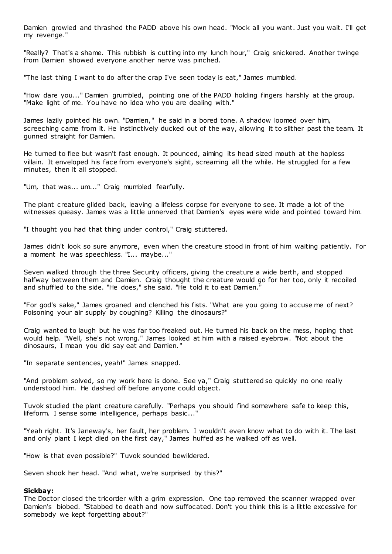Damien growled and thrashed the PADD above his own head. "Mock all you want. Just you wait. I'll get my revenge."

"Really? That's a shame. This rubbish is cutting into my lunch hour," Craig snickered. Another twinge from Damien showed everyone another nerve was pinched.

"The last thing I want to do after the crap I've seen today is eat," James mumbled.

"How dare you..." Damien grumbled, pointing one of the PADD holding fingers harshly at the group. "Make light of me. You have no idea who you are dealing with."

James lazily pointed his own. "Damien," he said in a bored tone. A shadow loomed over him, screeching came from it. He instinctively ducked out of the way, allowing it to slither past the team. It gunned straight for Damien.

He turned to flee but wasn't fast enough. It pounced, aiming its head sized mouth at the hapless villain. It enveloped his face from everyone's sight, screaming all the while. He struggled for a few minutes, then it all stopped.

"Um, that was... um..." Craig mumbled fearfully.

The plant creature glided back, leaving a lifeless corpse for everyone to see. It made a lot of the witnesses queasy. James was a little unnerved that Damien's eyes were wide and pointed toward him.

"I thought you had that thing under control," Craig stuttered.

James didn't look so sure anymore, even when the creature stood in front of him waiting patiently. For a moment he was speechless. "I... maybe..."

Seven walked through the three Security officers, giving the creature a wide berth, and stopped halfway between them and Damien. Craig thought the creature would go for her too, only it recoiled and shuffled to the side. "He does," she said. "He told it to eat Damien."

"For god's sake," James groaned and clenched his fists. "What are you going to accuse me of next? Poisoning your air supply by coughing? Killing the dinosaurs?"

Craig wanted to laugh but he was far too freaked out. He turned his back on the mess, hoping that would help. "Well, she's not wrong." James looked at him with a raised eyebrow. "Not about the dinosaurs, I mean you did say eat and Damien."

"In separate sentences, yeah!" James snapped.

"And problem solved, so my work here is done. See ya," Craig stuttered so quickly no one really understood him. He dashed off before anyone could object.

Tuvok studied the plant creature carefully. "Perhaps you should find somewhere safe to keep this, lifeform. I sense some intelligence, perhaps basic...'

"Yeah right. It's Janeway's, her fault, her problem. I wouldn't even know what to do with it. The last and only plant I kept died on the first day," James huffed as he walked off as well.

"How is that even possible?" Tuvok sounded bewildered.

Seven shook her head. "And what, we're surprised by this?"

#### **Sickbay:**

The Doctor closed the tricorder with a grim expression. One tap removed the scanner wrapped over Damien's biobed. "Stabbed to death and now suffocated. Don't you think this is a little excessive for somebody we kept forgetting about?"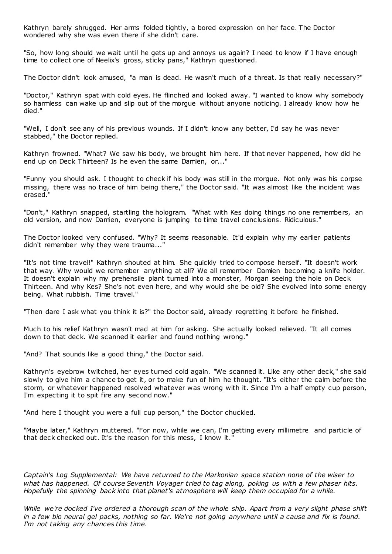Kathryn barely shrugged. Her arms folded tightly, a bored expression on her face. The Doctor wondered why she was even there if she didn't care.

"So, how long should we wait until he gets up and annoys us again? I need to know if I have enough time to collect one of Neelix's gross, sticky pans," Kathryn questioned.

The Doctor didn't look amused, "a man is dead. He wasn't much of a threat. Is that really necessary?"

"Doctor," Kathryn spat with cold eyes. He flinched and looked away. "I wanted to know why somebody so harmless can wake up and slip out of the morgue without anyone noticing. I already know how he died."

"Well, I don't see any of his previous wounds. If I didn't know any better, I'd say he was never stabbed," the Doctor replied.

Kathryn frowned. "What? We saw his body, we brought him here. If that never happened, how did he end up on Deck Thirteen? Is he even the same Damien, or..."

"Funny you should ask. I thought to check if his body was still in the morgue. Not only was his corpse missing, there was no trace of him being there," the Doctor said. "It was almost like the incident was erased."

"Don't," Kathryn snapped, startling the hologram. "What with Kes doing things no one remembers, an old version, and now Damien, everyone is jumping to time travel conclusions. Ridiculous."

The Doctor looked very confused. "Why? It seems reasonable. It'd explain why my earlier patients didn't remember why they were trauma..."

"It's not time travel!" Kathryn shouted at him. She quickly tried to compose herself. "It doesn't work that way. Why would we remember anything at all? We all remember Damien becoming a knife holder. It doesn't explain why my prehensile plant turned into a monster, Morgan seeing the hole on Deck Thirteen. And why Kes? She's not even here, and why would she be old? She evolved into some energy being. What rubbish. Time travel."

"Then dare I ask what you think it is?" the Doctor said, already regretting it before he finished.

Much to his relief Kathryn wasn't mad at him for asking. She actually looked relieved. "It all comes down to that deck. We scanned it earlier and found nothing wrong."

"And? That sounds like a good thing," the Doctor said.

Kathryn's eyebrow twitched, her eyes turned cold again. "We scanned it. Like any other deck," she said slowly to give him a chance to get it, or to make fun of him he thought. "It's either the calm before the storm, or whatever happened resolved whatever was wrong with it. Since I'm a half empty cup person, I'm expecting it to spit fire any second now."

"And here I thought you were a full cup person," the Doctor chuckled.

"Maybe later," Kathryn muttered. "For now, while we can, I'm getting every millimetre and particle of that deck checked out. It's the reason for this mess, I know it."

*Captain's Log Supplemental: We have returned to the Markonian space station none of the wiser to what has happened. Of course Seventh Voyager tried to tag along, poking us with a few phaser hits. Hopefully the spinning back into that planet's atmosphere will keep them occupied for a while.*

*While we're docked I've ordered a thorough scan of the whole ship. Apart from a very slight phase shift in a few bio neural gel packs, nothing so far. We're not going anywhere until a cause and fix is found. I'm not taking any chances this time.*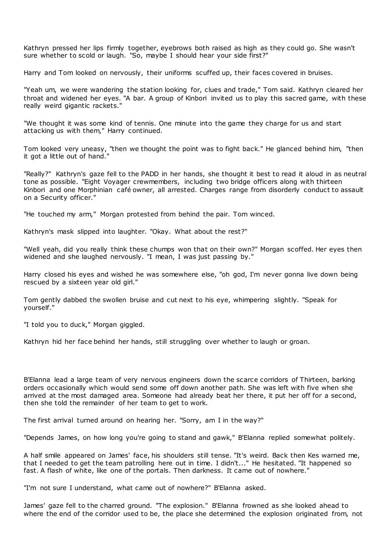Kathryn pressed her lips firmly together, eyebrows both raised as high as they could go. She wasn't sure whether to scold or laugh. "So, maybe I should hear your side first?"

Harry and Tom looked on nervously, their uniforms scuffed up, their faces covered in bruises.

"Yeah um, we were wandering the station looking for, clues and trade," Tom said. Kathryn cleared her throat and widened her eyes. "A bar. A group of Kinbori invited us to play this sacred game, with these really weird gigantic rackets."

"We thought it was some kind of tennis. One minute into the game they charge for us and start attacking us with them," Harry continued.

Tom looked very uneasy, "then we thought the point was to fight back." He glanced behind him, "then it got a little out of hand."

"Really?" Kathryn's gaze fell to the PADD in her hands, she thought it best to read it aloud in as neutral tone as possible. "Eight Voyager crewmembers, including two bridge officers along with thirteen Kinbori and one Morphinian café owner, all arrested. Charges range from disorderly conduct to assault on a Security officer."

"He touched my arm," Morgan protested from behind the pair. Tom winced.

Kathryn's mask slipped into laughter. "Okay. What about the rest?"

"Well yeah, did you really think these chumps won that on their own?" Morgan scoffed. Her eyes then widened and she laughed nervously. "I mean, I was just passing by."

Harry closed his eyes and wished he was somewhere else, "oh god, I'm never gonna live down being rescued by a sixteen year old girl."

Tom gently dabbed the swollen bruise and cut next to his eye, whimpering slightly. "Speak for yourself."

"I told you to duck," Morgan giggled.

Kathryn hid her face behind her hands, still struggling over whether to laugh or groan.

B'Elanna lead a large team of very nervous engineers down the scarce corridors of Thirteen, barking orders occasionally which would send some off down another path. She was left with five when she arrived at the most damaged area. Someone had already beat her there, it put her off for a second, then she told the remainder of her team to get to work.

The first arrival turned around on hearing her. "Sorry, am I in the way?"

"Depends James, on how long you're going to stand and gawk," B'Elanna replied somewhat politely.

A half smile appeared on James' face, his shoulders still tense. "It's weird. Back then Kes warned me, that I needed to get the team patrolling here out in time. I didn't..." He hesitated. "It happened so fast. A flash of white, like one of the portals. Then darkness. It came out of nowhere."

"I'm not sure I understand, what came out of nowhere?" B'Elanna asked.

James' gaze fell to the charred ground. "The explosion." B'Elanna frowned as she looked ahead to where the end of the corridor used to be, the place she determined the explosion originated from, not